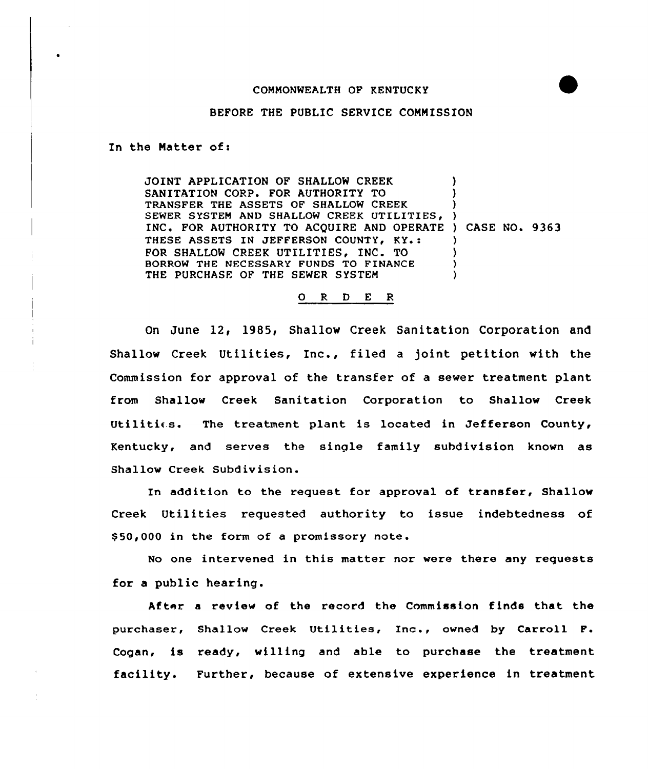## COMMONWEALTH OF KENTUCKY



## BEFORE THE PUBLIC SERVICE COMMISSION

In the Hatter of:

JOINT APPLICATION OF SHALLOW CREEK SANITATION CORP. FOR AUTHORITY TO TRANSFER THE ASSETS OF SHALLOW CREEK SEWER SYSTEM AND SHALLOW CREEK UTILITIES, INC. FOR AUTHORITY TO ACQUIRE AND OPERATE ) CASE NO. 9363 THESE ASSETS IN JEFFERSON COUNTY, KY.: FOR SHALLOW CREEK UTILITIES, INC. TO BORROW THE NECESSARY FUNDS TO FINANCE THE PURCHASE OF THE SEWER SYSTEM ) ) ) ) ) ) )

## 0 R <sup>D</sup> E <sup>R</sup>

On June 12< 1985, Shallow Creek Sanitation Corporation and Shallow Creek Utilities, Inc., filed <sup>a</sup> joint petition with the Commission for approval of the transfer of a sewer treatment plant from Shallow Creek Sanitation Corporation to Shallow Creek Utilitics. The treatment plant is located in Jefferson County, Kentucky, and serves the single family subdivision known as Shallow Creek Subdivision.

In addition to the request for approval of transfer, Shallow Creek Utilities requested authority to issue indebtedness of \$ 50,000 in the form of a promissory note.

No one intervened in this matter nor were there any requests for a public hearing.

After a review of the record the Commission finds that the purchaser, Shallow Creek Utilities, Inc., owned by Carroll F. Cogan, is ready, willing and able to purchase the treatment facility. Further, because of extensive experience in treatment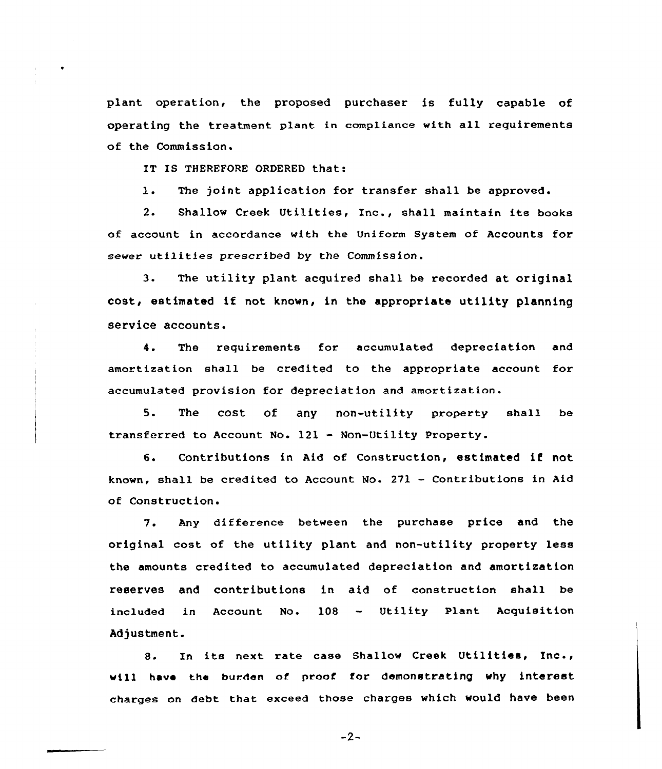plant operation, the proposed purchaser is fully capable of operating the treatment plant in compliance with all requirements of the Commission.

IT IS THEREFORE ORDERED that:

1. The joint application for transfer shall be approved.

2. Shallow Creek Utilities, Inc., shall maintain its books of account in accordance with the Uniform System of Accounts for sewer utilities prescribed by the Commission.

3. The utility plant acquired shall be recorded at original cost, estimated if not known, in the appropriate utility planning service accounts.

4. The requirements for accumulated depreciation and amortization shall be credited to the appropriate account for accumulated provision for depreciation and amortization.

5. The cost of any non-utility property shall be transferred to Account No. 121 — Non-Utility Property.

6. Contributions in Aid of Construction, estimated if not known, shall be credited to Account Mo. 271 — Contributions in Aid of Construction.

7. Any difference between the purchase price and the original cost of the utility plant and non-utility property less the amounts credited to accumulated depreciation and amortization reserves and contributions in aid of construction shall be included in Account No. 108 - Utility Plant Acquisition Adjustment.

8. In its next rate case Shallow Creek Utilities, Inc., will have the burden of proof for demonstrating why interest charges on debt that exceed those charges which would have been

 $-2-$